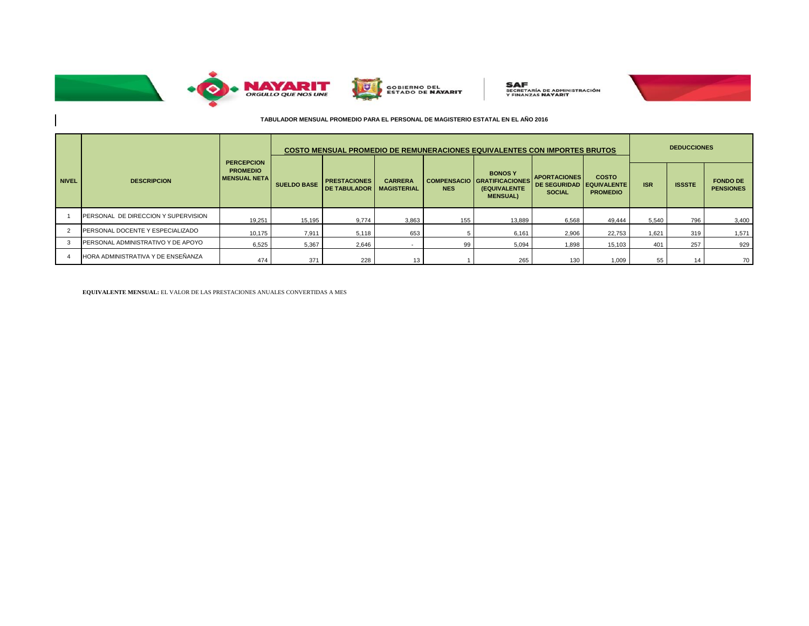

 $\sim$ 



**SAF**<br>SECRETARÍA DE ADMINISTRACIÓN<br>Y FINANZAS **NAYARIT** 



## **TABULADOR MENSUAL PROMEDIO PARA EL PERSONAL DE MAGISTERIO ESTATAL EN EL AÑO 2016**

|              |                                     |                                                               | COSTO MENSUAL PROMEDIO DE REMUNERACIONES EQUIVALENTES CON IMPORTES BRUTOS |                                             |                                      |            |                                                                                        |                                                             |                                                       |            | <b>DEDUCCIONES</b> |                                     |  |
|--------------|-------------------------------------|---------------------------------------------------------------|---------------------------------------------------------------------------|---------------------------------------------|--------------------------------------|------------|----------------------------------------------------------------------------------------|-------------------------------------------------------------|-------------------------------------------------------|------------|--------------------|-------------------------------------|--|
| <b>NIVEL</b> | <b>DESCRIPCION</b>                  | <b>PERCEPCION</b><br><b>PROMEDIO</b><br><b>IMENSUAL NETAI</b> | <b>SUELDO BASE</b>                                                        | <b>PRESTACIONES</b><br><b>IDE TABULADOR</b> | <b>CARRERA</b><br><b>MAGISTERIAL</b> | <b>NES</b> | <b>BONOSY</b><br><b>COMPENSACIO GRATIFICACIONES</b><br>(EQUIVALENTE<br><b>MENSUAL)</b> | <b>APORTACIONES</b><br><b>DE SEGURIDAD</b><br><b>SOCIAL</b> | <b>COSTO</b><br><b>EQUIVALENTE</b><br><b>PROMEDIO</b> | <b>ISR</b> | <b>ISSSTE</b>      | <b>FONDO DE</b><br><b>PENSIONES</b> |  |
|              | PERSONAL DE DIRECCION Y SUPERVISION | 19,251                                                        | 15,195                                                                    | 9,774                                       | 3,863                                | 155        | 13,889                                                                                 | 6,568                                                       | 49.444                                                | 5,540      | 796                | 3,400                               |  |
|              | PERSONAL DOCENTE Y ESPECIALIZADO    | 10,175                                                        | 7,911                                                                     | 5,118                                       | 653                                  |            | 6,161                                                                                  | 2,906                                                       | 22,753                                                | 1,621      | 319                | 1,571                               |  |
|              | PERSONAL ADMINISTRATIVO Y DE APOYO  | 6,525                                                         | 5,367                                                                     | 2,646                                       | $\overline{\phantom{a}}$             | 99         | 5,094                                                                                  | 1.898                                                       | 15,103                                                | 401        | 257                | 929                                 |  |
|              | HORA ADMINISTRATIVA Y DE ENSEÑANZA  | 474                                                           | 371                                                                       | 228                                         | 4 <sub>2</sub>                       |            | 265                                                                                    | 130                                                         | 1,009                                                 | 55         | 14                 | 70                                  |  |

**EQUIVALENTE MENSUAL:** EL VALOR DE LAS PRESTACIONES ANUALES CONVERTIDAS A MES